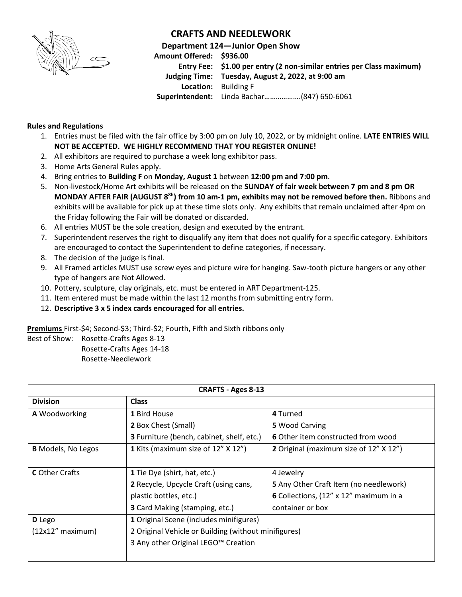

## **CRAFTS AND NEEDLEWORK**

**Department 124—Junior Open Show**

**Amount Offered: \$936.00 Entry Fee: \$1.00 per entry (2 non-similar entries per Class maximum) Judging Time: Tuesday, August 2, 2022, at 9:00 am Location:** Building F **Superintendent:** Linda Bachar……………….(847) 650-6061

## **Rules and Regulations**

- 1. Entries must be filed with the fair office by 3:00 pm on July 10, 2022, or by midnight online. **LATE ENTRIES WILL NOT BE ACCEPTED. WE HIGHLY RECOMMEND THAT YOU REGISTER ONLINE!**
- 2. All exhibitors are required to purchase a week long exhibitor pass.
- 3. Home Arts General Rules apply.
- 4. Bring entries to **Building F** on **Monday, August 1** between **12:00 pm and 7:00 pm**.
- 5. Non-livestock/Home Art exhibits will be released on the **SUNDAY of fair week between 7 pm and 8 pm OR MONDAY AFTER FAIR (AUGUST 8 8h ) from 10 am-1 pm, exhibits may not be removed before then.** Ribbons and exhibits will be available for pick up at these time slots only. Any exhibits that remain unclaimed after 4pm on the Friday following the Fair will be donated or discarded.
- 6. All entries MUST be the sole creation, design and executed by the entrant.
- 7. Superintendent reserves the right to disqualify any item that does not qualify for a specific category. Exhibitors are encouraged to contact the Superintendent to define categories, if necessary.
- 8. The decision of the judge is final.
- 9. All Framed articles MUST use screw eyes and picture wire for hanging. Saw-tooth picture hangers or any other type of hangers are Not Allowed.
- 10. Pottery, sculpture, clay originals, etc. must be entered in ART Department-125.
- 11. Item entered must be made within the last 12 months from submitting entry form.
- 12. **Descriptive 3 x 5 index cards encouraged for all entries.**

**Premiums** First-\$4; Second-\$3; Third-\$2; Fourth, Fifth and Sixth ribbons only

Best of Show: Rosette-Crafts Ages 8-13 Rosette-Crafts Ages 14-18

Rosette-Needlework

| <b>CRAFTS - Ages 8-13</b> |                                                      |                                        |  |  |  |
|---------------------------|------------------------------------------------------|----------------------------------------|--|--|--|
| <b>Division</b>           | <b>Class</b>                                         |                                        |  |  |  |
| A Woodworking             | 1 Bird House                                         | 4 Turned                               |  |  |  |
|                           | 2 Box Chest (Small)                                  | 5 Wood Carving                         |  |  |  |
|                           | 3 Furniture (bench, cabinet, shelf, etc.)            | 6 Other item constructed from wood     |  |  |  |
| <b>B</b> Models, No Legos | 1 Kits (maximum size of 12" X 12")                   | 2 Original (maximum size of 12" X 12") |  |  |  |
|                           |                                                      |                                        |  |  |  |
| <b>C</b> Other Crafts     | 1 Tie Dye (shirt, hat, etc.)                         | 4 Jewelry                              |  |  |  |
|                           | 2 Recycle, Upcycle Craft (using cans,                | 5 Any Other Craft Item (no needlework) |  |  |  |
|                           | plastic bottles, etc.)                               | 6 Collections, (12" x 12" maximum in a |  |  |  |
|                           | <b>3</b> Card Making (stamping, etc.)                | container or box                       |  |  |  |
| D Lego                    | 1 Original Scene (includes minifigures)              |                                        |  |  |  |
| $(12x12"$ maximum)        | 2 Original Vehicle or Building (without minifigures) |                                        |  |  |  |
|                           | 3 Any other Original LEGO <sup>™</sup> Creation      |                                        |  |  |  |
|                           |                                                      |                                        |  |  |  |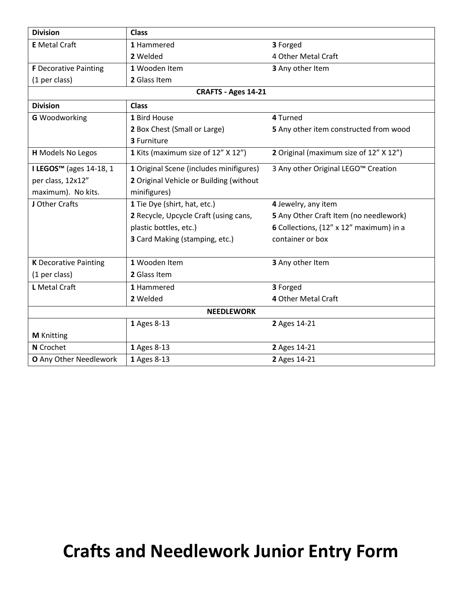| <b>Division</b>                     | <b>Class</b>                            |                                         |  |  |  |  |  |
|-------------------------------------|-----------------------------------------|-----------------------------------------|--|--|--|--|--|
| <b>E</b> Metal Craft                | 1 Hammered                              | 3 Forged                                |  |  |  |  |  |
|                                     | 2 Welded                                | 4 Other Metal Craft                     |  |  |  |  |  |
| <b>F</b> Decorative Painting        | 1 Wooden Item                           | 3 Any other Item                        |  |  |  |  |  |
| (1 per class)                       | 2 Glass Item                            |                                         |  |  |  |  |  |
| CRAFTS - Ages 14-21                 |                                         |                                         |  |  |  |  |  |
| <b>Division</b>                     | <b>Class</b>                            |                                         |  |  |  |  |  |
| <b>G</b> Woodworking                | 1 Bird House                            | 4 Turned                                |  |  |  |  |  |
|                                     | 2 Box Chest (Small or Large)            | 5 Any other item constructed from wood  |  |  |  |  |  |
|                                     | 3 Furniture                             |                                         |  |  |  |  |  |
| <b>H</b> Models No Legos            | 1 Kits (maximum size of 12" X 12")      | 2 Original (maximum size of 12" X 12")  |  |  |  |  |  |
| I LEGOS <sup>™</sup> (ages 14-18, 1 | 1 Original Scene (includes minifigures) | 3 Any other Original LEGO™ Creation     |  |  |  |  |  |
| per class, 12x12"                   | 2 Original Vehicle or Building (without |                                         |  |  |  |  |  |
| maximum). No kits.                  | minifigures)                            |                                         |  |  |  |  |  |
| J Other Crafts                      | 1 Tie Dye (shirt, hat, etc.)            | 4 Jewelry, any item                     |  |  |  |  |  |
|                                     | 2 Recycle, Upcycle Craft (using cans,   | 5 Any Other Craft Item (no needlework)  |  |  |  |  |  |
|                                     | plastic bottles, etc.)                  | 6 Collections, (12" x 12" maximum) in a |  |  |  |  |  |
|                                     | 3 Card Making (stamping, etc.)          | container or box                        |  |  |  |  |  |
|                                     |                                         |                                         |  |  |  |  |  |
| <b>K</b> Decorative Painting        | 1 Wooden Item                           | 3 Any other Item                        |  |  |  |  |  |
| (1 per class)                       | 2 Glass Item                            |                                         |  |  |  |  |  |
| L Metal Craft                       | 1 Hammered                              | 3 Forged                                |  |  |  |  |  |
|                                     | 2 Welded                                | 4 Other Metal Craft                     |  |  |  |  |  |
| <b>NEEDLEWORK</b>                   |                                         |                                         |  |  |  |  |  |
|                                     | 1 Ages 8-13                             | 2 Ages 14-21                            |  |  |  |  |  |
| <b>M</b> Knitting                   |                                         |                                         |  |  |  |  |  |
| N Crochet                           | 1 Ages 8-13                             | 2 Ages 14-21                            |  |  |  |  |  |
| O Any Other Needlework              | 1 Ages 8-13                             | 2 Ages 14-21                            |  |  |  |  |  |

## **Crafts and Needlework Junior Entry Form**